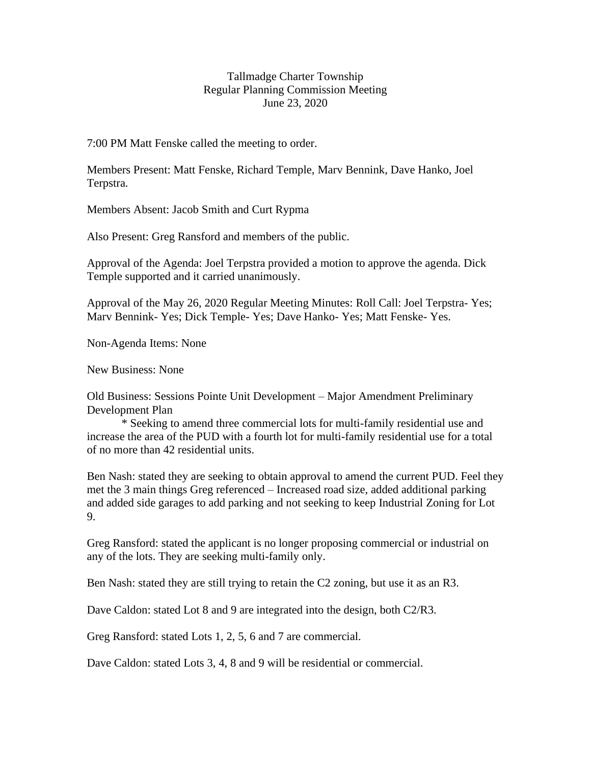## Tallmadge Charter Township Regular Planning Commission Meeting June 23, 2020

7:00 PM Matt Fenske called the meeting to order.

Members Present: Matt Fenske, Richard Temple, Marv Bennink, Dave Hanko, Joel Terpstra.

Members Absent: Jacob Smith and Curt Rypma

Also Present: Greg Ransford and members of the public.

Approval of the Agenda: Joel Terpstra provided a motion to approve the agenda. Dick Temple supported and it carried unanimously.

Approval of the May 26, 2020 Regular Meeting Minutes: Roll Call: Joel Terpstra- Yes; Marv Bennink- Yes; Dick Temple- Yes; Dave Hanko- Yes; Matt Fenske- Yes.

Non-Agenda Items: None

New Business: None

Old Business: Sessions Pointe Unit Development – Major Amendment Preliminary Development Plan

\* Seeking to amend three commercial lots for multi-family residential use and increase the area of the PUD with a fourth lot for multi-family residential use for a total of no more than 42 residential units.

Ben Nash: stated they are seeking to obtain approval to amend the current PUD. Feel they met the 3 main things Greg referenced – Increased road size, added additional parking and added side garages to add parking and not seeking to keep Industrial Zoning for Lot 9.

Greg Ransford: stated the applicant is no longer proposing commercial or industrial on any of the lots. They are seeking multi-family only.

Ben Nash: stated they are still trying to retain the C2 zoning, but use it as an R3.

Dave Caldon: stated Lot 8 and 9 are integrated into the design, both C2/R3.

Greg Ransford: stated Lots 1, 2, 5, 6 and 7 are commercial.

Dave Caldon: stated Lots 3, 4, 8 and 9 will be residential or commercial.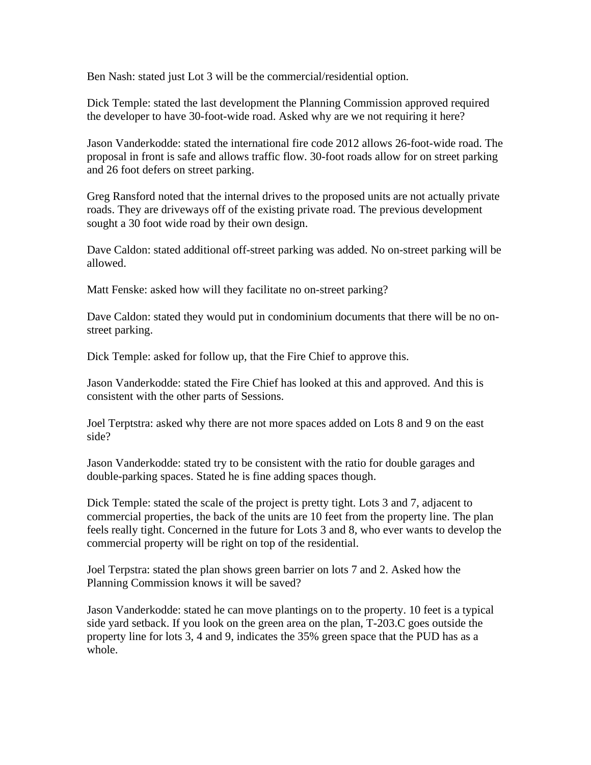Ben Nash: stated just Lot 3 will be the commercial/residential option.

Dick Temple: stated the last development the Planning Commission approved required the developer to have 30-foot-wide road. Asked why are we not requiring it here?

Jason Vanderkodde: stated the international fire code 2012 allows 26-foot-wide road. The proposal in front is safe and allows traffic flow. 30-foot roads allow for on street parking and 26 foot defers on street parking.

Greg Ransford noted that the internal drives to the proposed units are not actually private roads. They are driveways off of the existing private road. The previous development sought a 30 foot wide road by their own design.

Dave Caldon: stated additional off-street parking was added. No on-street parking will be allowed.

Matt Fenske: asked how will they facilitate no on-street parking?

Dave Caldon: stated they would put in condominium documents that there will be no onstreet parking.

Dick Temple: asked for follow up, that the Fire Chief to approve this.

Jason Vanderkodde: stated the Fire Chief has looked at this and approved. And this is consistent with the other parts of Sessions.

Joel Terptstra: asked why there are not more spaces added on Lots 8 and 9 on the east side?

Jason Vanderkodde: stated try to be consistent with the ratio for double garages and double-parking spaces. Stated he is fine adding spaces though.

Dick Temple: stated the scale of the project is pretty tight. Lots 3 and 7, adjacent to commercial properties, the back of the units are 10 feet from the property line. The plan feels really tight. Concerned in the future for Lots 3 and 8, who ever wants to develop the commercial property will be right on top of the residential.

Joel Terpstra: stated the plan shows green barrier on lots 7 and 2. Asked how the Planning Commission knows it will be saved?

Jason Vanderkodde: stated he can move plantings on to the property. 10 feet is a typical side yard setback. If you look on the green area on the plan, T-203.C goes outside the property line for lots 3, 4 and 9, indicates the 35% green space that the PUD has as a whole.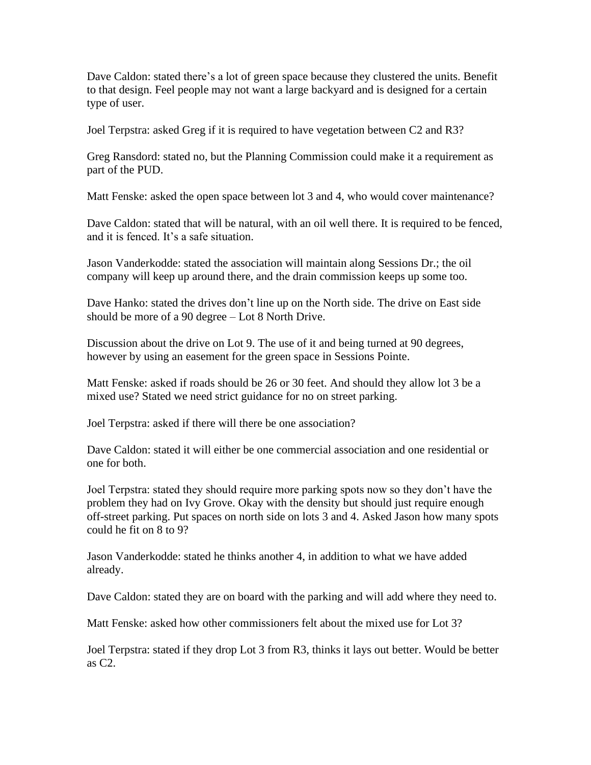Dave Caldon: stated there's a lot of green space because they clustered the units. Benefit to that design. Feel people may not want a large backyard and is designed for a certain type of user.

Joel Terpstra: asked Greg if it is required to have vegetation between C2 and R3?

Greg Ransdord: stated no, but the Planning Commission could make it a requirement as part of the PUD.

Matt Fenske: asked the open space between lot 3 and 4, who would cover maintenance?

Dave Caldon: stated that will be natural, with an oil well there. It is required to be fenced, and it is fenced. It's a safe situation.

Jason Vanderkodde: stated the association will maintain along Sessions Dr.; the oil company will keep up around there, and the drain commission keeps up some too.

Dave Hanko: stated the drives don't line up on the North side. The drive on East side should be more of a 90 degree – Lot 8 North Drive.

Discussion about the drive on Lot 9. The use of it and being turned at 90 degrees, however by using an easement for the green space in Sessions Pointe.

Matt Fenske: asked if roads should be 26 or 30 feet. And should they allow lot 3 be a mixed use? Stated we need strict guidance for no on street parking.

Joel Terpstra: asked if there will there be one association?

Dave Caldon: stated it will either be one commercial association and one residential or one for both.

Joel Terpstra: stated they should require more parking spots now so they don't have the problem they had on Ivy Grove. Okay with the density but should just require enough off-street parking. Put spaces on north side on lots 3 and 4. Asked Jason how many spots could he fit on 8 to 9?

Jason Vanderkodde: stated he thinks another 4, in addition to what we have added already.

Dave Caldon: stated they are on board with the parking and will add where they need to.

Matt Fenske: asked how other commissioners felt about the mixed use for Lot 3?

Joel Terpstra: stated if they drop Lot 3 from R3, thinks it lays out better. Would be better as C2.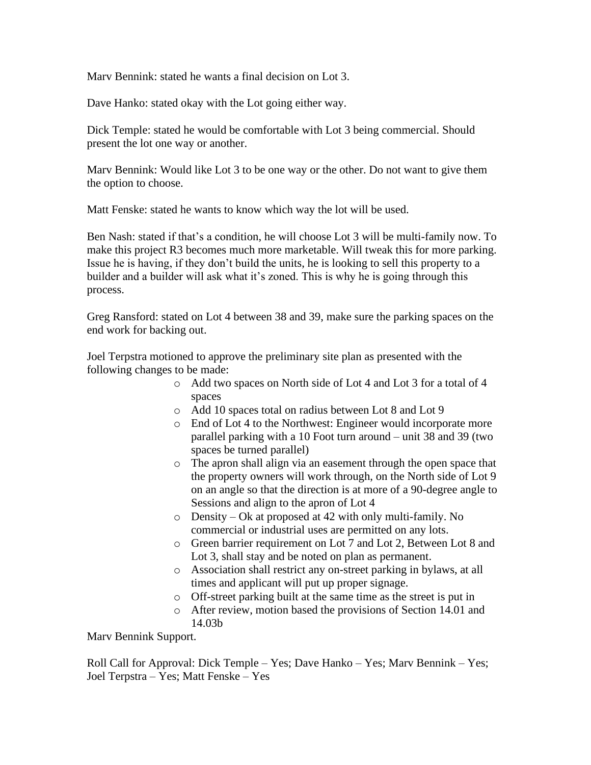Marv Bennink: stated he wants a final decision on Lot 3.

Dave Hanko: stated okay with the Lot going either way.

Dick Temple: stated he would be comfortable with Lot 3 being commercial. Should present the lot one way or another.

Marv Bennink: Would like Lot 3 to be one way or the other. Do not want to give them the option to choose.

Matt Fenske: stated he wants to know which way the lot will be used.

Ben Nash: stated if that's a condition, he will choose Lot 3 will be multi-family now. To make this project R3 becomes much more marketable. Will tweak this for more parking. Issue he is having, if they don't build the units, he is looking to sell this property to a builder and a builder will ask what it's zoned. This is why he is going through this process.

Greg Ransford: stated on Lot 4 between 38 and 39, make sure the parking spaces on the end work for backing out.

Joel Terpstra motioned to approve the preliminary site plan as presented with the following changes to be made:

- o Add two spaces on North side of Lot 4 and Lot 3 for a total of 4 spaces
- o Add 10 spaces total on radius between Lot 8 and Lot 9
- o End of Lot 4 to the Northwest: Engineer would incorporate more parallel parking with a 10 Foot turn around – unit 38 and 39 (two spaces be turned parallel)
- o The apron shall align via an easement through the open space that the property owners will work through, on the North side of Lot 9 on an angle so that the direction is at more of a 90-degree angle to Sessions and align to the apron of Lot 4
- o Density Ok at proposed at 42 with only multi-family. No commercial or industrial uses are permitted on any lots.
- o Green barrier requirement on Lot 7 and Lot 2, Between Lot 8 and Lot 3, shall stay and be noted on plan as permanent.
- o Association shall restrict any on-street parking in bylaws, at all times and applicant will put up proper signage.
- o Off-street parking built at the same time as the street is put in
- o After review, motion based the provisions of Section 14.01 and 14.03b

Marv Bennink Support.

Roll Call for Approval: Dick Temple – Yes; Dave Hanko – Yes; Marv Bennink – Yes; Joel Terpstra – Yes; Matt Fenske – Yes